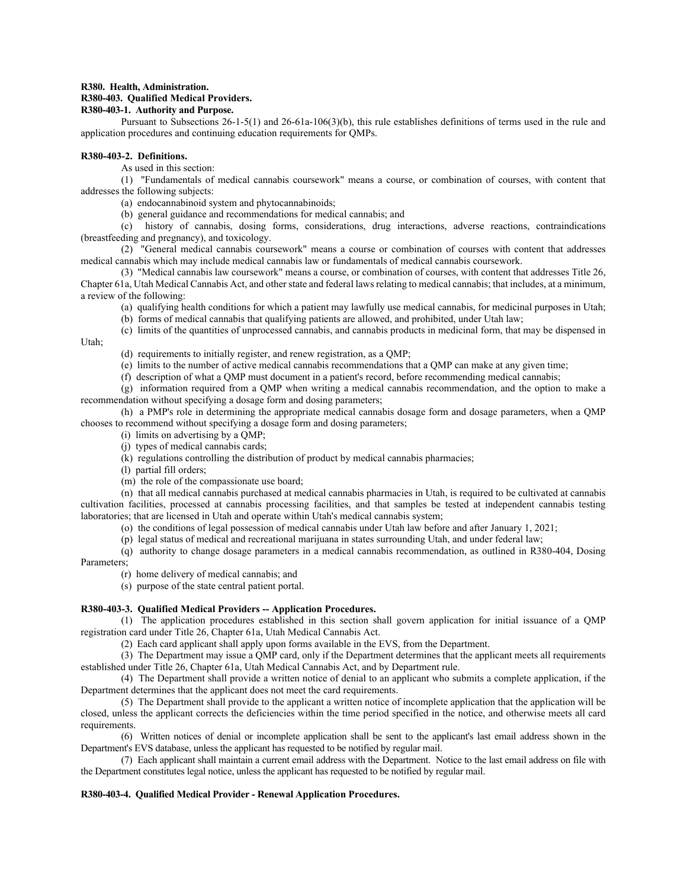### **R380. Health, Administration.**

## **R380-403. Qualified Medical Providers.**

# **R380-403-1. Authority and Purpose.**

Pursuant to Subsections 26-1-5(1) and 26-61a-106(3)(b), this rule establishes definitions of terms used in the rule and application procedures and continuing education requirements for QMPs.

### **R380-403-2. Definitions.**

As used in this section:

(1) "Fundamentals of medical cannabis coursework" means a course, or combination of courses, with content that addresses the following subjects:

(a) endocannabinoid system and phytocannabinoids;

(b) general guidance and recommendations for medical cannabis; and

(c) history of cannabis, dosing forms, considerations, drug interactions, adverse reactions, contraindications (breastfeeding and pregnancy), and toxicology.

(2) "General medical cannabis coursework" means a course or combination of courses with content that addresses medical cannabis which may include medical cannabis law or fundamentals of medical cannabis coursework.

(3) "Medical cannabis law coursework" means a course, or combination of courses, with content that addresses Title 26, Chapter 61a, Utah Medical Cannabis Act, and other state and federal laws relating to medical cannabis; that includes, at a minimum, a review of the following:

(a) qualifying health conditions for which a patient may lawfully use medical cannabis, for medicinal purposes in Utah;

(b) forms of medical cannabis that qualifying patients are allowed, and prohibited, under Utah law;

(c) limits of the quantities of unprocessed cannabis, and cannabis products in medicinal form, that may be dispensed in

Utah;

- (d) requirements to initially register, and renew registration, as a QMP;
- (e) limits to the number of active medical cannabis recommendations that a QMP can make at any given time;
- (f) description of what a QMP must document in a patient's record, before recommending medical cannabis;

(g) information required from a QMP when writing a medical cannabis recommendation, and the option to make a recommendation without specifying a dosage form and dosing parameters;

(h) a PMP's role in determining the appropriate medical cannabis dosage form and dosage parameters, when a QMP chooses to recommend without specifying a dosage form and dosing parameters;

- (i) limits on advertising by a QMP;
- (j) types of medical cannabis cards;
- (k) regulations controlling the distribution of product by medical cannabis pharmacies;

(l) partial fill orders;

(m) the role of the compassionate use board;

(n) that all medical cannabis purchased at medical cannabis pharmacies in Utah, is required to be cultivated at cannabis cultivation facilities, processed at cannabis processing facilities, and that samples be tested at independent cannabis testing laboratories; that are licensed in Utah and operate within Utah's medical cannabis system;

(o) the conditions of legal possession of medical cannabis under Utah law before and after January 1, 2021;

(p) legal status of medical and recreational marijuana in states surrounding Utah, and under federal law;

(q) authority to change dosage parameters in a medical cannabis recommendation, as outlined in R380-404, Dosing Parameters;

- (r) home delivery of medical cannabis; and
- (s) purpose of the state central patient portal.

## **R380-403-3. Qualified Medical Providers -- Application Procedures.**

(1) The application procedures established in this section shall govern application for initial issuance of a QMP registration card under Title 26, Chapter 61a, Utah Medical Cannabis Act.

(2) Each card applicant shall apply upon forms available in the EVS, from the Department.

(3) The Department may issue a QMP card, only if the Department determines that the applicant meets all requirements established under Title 26, Chapter 61a, Utah Medical Cannabis Act, and by Department rule.

(4) The Department shall provide a written notice of denial to an applicant who submits a complete application, if the Department determines that the applicant does not meet the card requirements.

(5) The Department shall provide to the applicant a written notice of incomplete application that the application will be closed, unless the applicant corrects the deficiencies within the time period specified in the notice, and otherwise meets all card requirements.

(6) Written notices of denial or incomplete application shall be sent to the applicant's last email address shown in the Department's EVS database, unless the applicant has requested to be notified by regular mail.

(7) Each applicant shall maintain a current email address with the Department. Notice to the last email address on file with the Department constitutes legal notice, unless the applicant has requested to be notified by regular mail.

## **R380-403-4. Qualified Medical Provider - Renewal Application Procedures.**